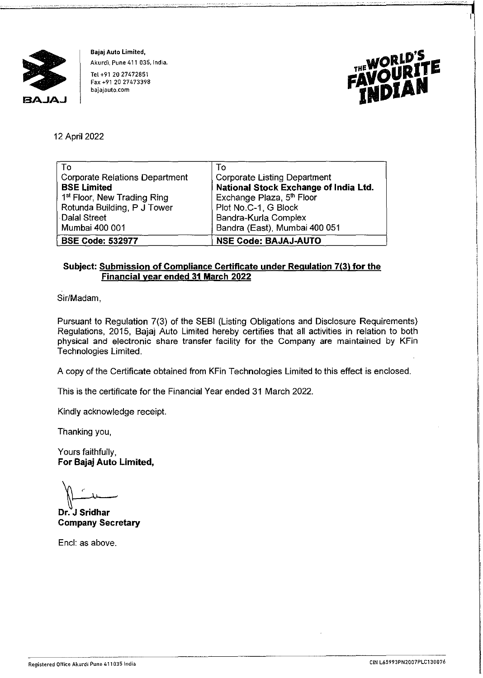

**Bajaj Auto Limited, Akurdi, Pune 411 035, India.**  Tel +91 20 27472851 **Fax +91 20 27473398 bajajauto.com** 



12 April 2022

| To                                      | To                                    |
|-----------------------------------------|---------------------------------------|
| <b>Corporate Relations Department</b>   | <b>Corporate Listing Department</b>   |
| <b>BSE Limited</b>                      | National Stock Exchange of India Ltd. |
| 1 <sup>st</sup> Floor, New Trading Ring | Exchange Plaza, 5th Floor             |
| Rotunda Building, P J Tower             | Plot No.C-1, G Block                  |
| <b>Dalal Street</b>                     | Bandra-Kurla Complex                  |
| Mumbai 400 001                          | Bandra (East), Mumbai 400 051         |
| <b>BSE Code: 532977</b>                 | <b>NSE Code: BAJAJ-AUTO</b>           |

## **Subject: Submission of Compliance Certificate under Regulation 7(3) for the Financial year ended 31 March 2022**

Sir/Madam,

Pursuant to Regulation 7(3) of the SEBI (Listing Obligations and Disclosure Requirements) Regulations, 2015, Bajaj Auto Limited hereby certifies that all activities in relation to both physical and electronic share transfer facility for the Company are maintained by KFin Technologies Limited.

A copy of the Certificate obtained from KFin Technologies Limited to this effect is enclosed.

This is the certificate for the Financial Year ended 31 March 2022.

Kindly acknowledge receipt.

Thanking you,

Yours faithfully, **For Bajaj Auto Limited,** 

**1997**<br>Tr. J Sridhar **1998** 

Dr. J Sridhar **Company Secretary** 

Encl: as above.